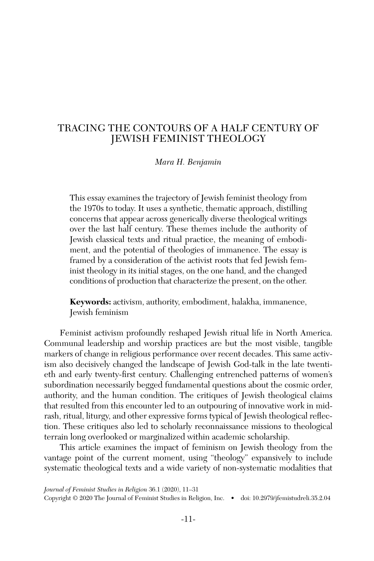# TRACING THE CONTOURS OF A HALF CENTURY OF JEWISH FEMINIST THEOLOGY

*Mara H. Benjamin*

This essay examines the trajectory of Jewish feminist theology from the 1970s to today. It uses a synthetic, thematic approach, distilling concerns that appear across generically diverse theological writings over the last half century. These themes include the authority of Jewish classical texts and ritual practice, the meaning of embodiment, and the potential of theologies of immanence. The essay is framed by a consideration of the activist roots that fed Jewish feminist theology in its initial stages, on the one hand, and the changed conditions of production that characterize the present, on the other.

**Keywords:** activism, authority, embodiment, halakha, immanence, Jewish feminism

Feminist activism profoundly reshaped Jewish ritual life in North America. Communal leadership and worship practices are but the most visible, tangible markers of change in religious performance over recent decades. This same activism also decisively changed the landscape of Jewish God-talk in the late twentieth and early twenty-first century. Challenging entrenched patterns of women's subordination necessarily begged fundamental questions about the cosmic order, authority, and the human condition. The critiques of Jewish theological claims that resulted from this encounter led to an outpouring of innovative work in midrash, ritual, liturgy, and other expressive forms typical of Jewish theological reflection. These critiques also led to scholarly reconnaissance missions to theological terrain long overlooked or marginalized within academic scholarship.

This article examines the impact of feminism on Jewish theology from the vantage point of the current moment, using "theology" expansively to include systematic theological texts and a wide variety of non-systematic modalities that

*Journal of Feminist Studies in Religion* 36.1 (2020), 11–31 Copyright © 2020 The Journal of Feminist Studies in Religion, Inc. • doi: 10.2979/jfemistudreli.35.2.04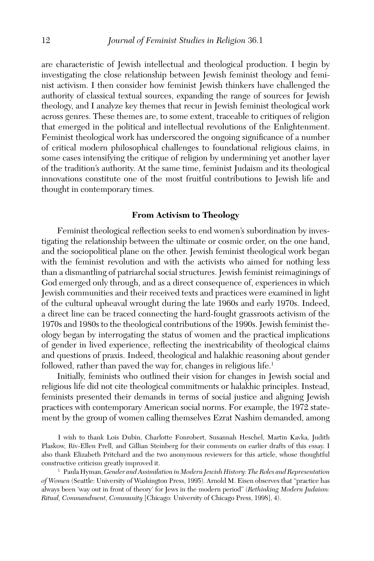are characteristic of Jewish intellectual and theological production. I begin by investigating the close relationship between Jewish feminist theology and feminist activism. I then consider how feminist Jewish thinkers have challenged the authority of classical textual sources, expanding the range of sources for Jewish theology, and I analyze key themes that recur in Jewish feminist theological work across genres. These themes are, to some extent, traceable to critiques of religion that emerged in the political and intellectual revolutions of the Enlightenment. Feminist theological work has underscored the ongoing significance of a number of critical modern philosophical challenges to foundational religious claims, in some cases intensifying the critique of religion by undermining yet another layer of the tradition's authority. At the same time, feminist Judaism and its theological innovations constitute one of the most fruitful contributions to Jewish life and thought in contemporary times.

## **From Activism to Theology**

Feminist theological reflection seeks to end women's subordination by investigating the relationship between the ultimate or cosmic order, on the one hand, and the sociopolitical plane on the other. Jewish feminist theological work began with the feminist revolution and with the activists who aimed for nothing less than a dismantling of patriarchal social structures. Jewish feminist reimaginings of God emerged only through, and as a direct consequence of, experiences in which Jewish communities and their received texts and practices were examined in light of the cultural upheaval wrought during the late 1960s and early 1970s. Indeed, a direct line can be traced connecting the hard-fought grassroots activism of the 1970s and 1980s to the theological contributions of the 1990s. Jewish feminist theology began by interrogating the status of women and the practical implications of gender in lived experience, reflecting the inextricability of theological claims and questions of praxis. Indeed, theological and halakhic reasoning about gender followed, rather than paved the way for, changes in religious life.<sup>1</sup>

Initially, feminists who outlined their vision for changes in Jewish social and religious life did not cite theological commitments or halakhic principles. Instead, feminists presented their demands in terms of social justice and aligning Jewish practices with contemporary American social norms. For example, the 1972 statement by the group of women calling themselves Ezrat Nashim demanded, among

I wish to thank Lois Dubin, Charlotte Fonrobert, Susannah Heschel, Martin Kavka, Judith Plaskow, Riv-Ellen Prell, and Gillian Steinberg for their comments on earlier drafts of this essay. I also thank Elizabeth Pritchard and the two anonymous reviewers for this article, whose thoughtful constructive criticism greatly improved it.

<sup>1</sup> Paula Hyman, *Gender and Assimilation in Modern Jewish History: The Roles and Representation of Women* (Seattle: University of Washington Press, 1995). Arnold M. Eisen observes that "practice has always been 'way out in front of theory' for Jews in the modern period" (*Rethinking Modern Judaism: Ritual, Commandment, Community* [Chicago: University of Chicago Press, 1998], 4).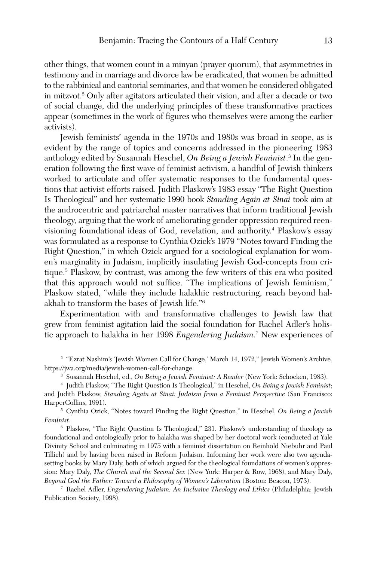other things, that women count in a minyan (prayer quorum), that asymmetries in testimony and in marriage and divorce law be eradicated, that women be admitted to the rabbinical and cantorial seminaries, and that women be considered obligated in mitzvot.2 Only after agitators articulated their vision, and after a decade or two of social change, did the underlying principles of these transformative practices appear (sometimes in the work of figures who themselves were among the earlier activists).

Jewish feminists' agenda in the 1970s and 1980s was broad in scope, as is evident by the range of topics and concerns addressed in the pioneering 1983 anthology edited by Susannah Heschel, *On Being a Jewish Feminist*. 3 In the generation following the first wave of feminist activism, a handful of Jewish thinkers worked to articulate and offer systematic responses to the fundamental questions that activist efforts raised. Judith Plaskow's 1983 essay "The Right Question Is Theological" and her systematic 1990 book *Standing Again at Sinai* took aim at the androcentric and patriarchal master narratives that inform traditional Jewish theology, arguing that the work of ameliorating gender oppression required reenvisioning foundational ideas of God, revelation, and authority.4 Plaskow's essay was formulated as a response to Cynthia Ozick's 1979 "Notes toward Finding the Right Question," in which Ozick argued for a sociological explanation for women's marginality in Judaism, implicitly insulating Jewish God-concepts from critique.5 Plaskow, by contrast, was among the few writers of this era who posited that this approach would not suffice. "The implications of Jewish feminism," Plaskow stated, "while they include halakhic restructuring, reach beyond halakhah to transform the bases of Jewish life."6

Experimentation with and transformative challenges to Jewish law that grew from feminist agitation laid the social foundation for Rachel Adler's holistic approach to halakha in her 1998 *Engendering Judaism*. 7 New experiences of

<sup>2</sup> "Ezrat Nashim's 'Jewish Women Call for Change,' March 14, 1972," Jewish Women's Archive, https://jwa.org/media/jewish-women-call-for-change.

<sup>3</sup> Susannah Heschel, ed., *On Being a Jewish Feminist: A Reader* (New York: Schocken, 1983).

<sup>4</sup> Judith Plaskow, "The Right Question Is Theological," in Heschel, *On Being a Jewish Feminist*; and Judith Plaskow, *Standing Again at Sinai: Judaism from a Feminist Perspective* (San Francisco: HarperCollins, 1991).

<sup>5</sup> Cynthia Ozick, "Notes toward Finding the Right Question," in Heschel, *On Being a Jewish Feminist*.

<sup>6</sup> Plaskow, "The Right Question Is Theological," 231. Plaskow's understanding of theology as foundational and ontologically prior to halakha was shaped by her doctoral work (conducted at Yale Divinity School and culminating in 1975 with a feminist dissertation on Reinhold Niebuhr and Paul Tillich) and by having been raised in Reform Judaism. Informing her work were also two agendasetting books by Mary Daly, both of which argued for the theological foundations of women's oppression: Mary Daly, *The Church and the Second Sex* (New York: Harper & Row, 1968), and Mary Daly, *Beyond God the Father: Toward a Philosophy of Women's Liberation* (Boston: Beacon, 1973). 7 Rachel Adler, *Engendering Judaism: An Inclusive Theology and Ethics* (Philadelphia: Jewish

Publication Society, 1998).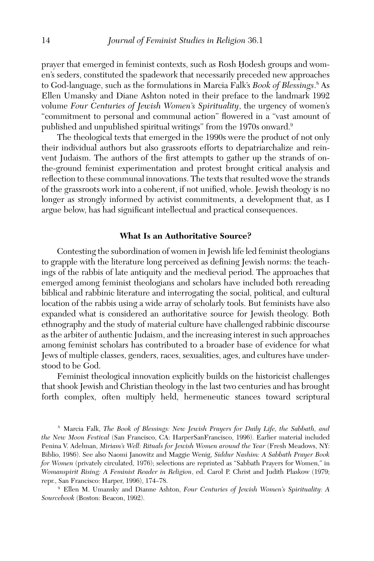prayer that emerged in feminist contexts, such as Rosh Ḥodesh groups and women's seders, constituted the spadework that necessarily preceded new approaches to God-language, such as the formulations in Marcia Falk's *Book of Blessings*. 8 As Ellen Umansky and Diane Ashton noted in their preface to the landmark 1992 volume *Four Centuries of Jewish Women's Spirituality*, the urgency of women's "commitment to personal and communal action" flowered in a "vast amount of published and unpublished spiritual writings" from the 1970s onward.9

The theological texts that emerged in the 1990s were the product of not only their individual authors but also grassroots efforts to depatriarchalize and reinvent Judaism. The authors of the first attempts to gather up the strands of onthe-ground feminist experimentation and protest brought critical analysis and reflection to these communal innovations. The texts that resulted wove the strands of the grassroots work into a coherent, if not unified, whole. Jewish theology is no longer as strongly informed by activist commitments, a development that, as I argue below, has had significant intellectual and practical consequences.

### **What Is an Authoritative Source?**

Contesting the subordination of women in Jewish life led feminist theologians to grapple with the literature long perceived as defining Jewish norms: the teachings of the rabbis of late antiquity and the medieval period. The approaches that emerged among feminist theologians and scholars have included both rereading biblical and rabbinic literature and interrogating the social, political, and cultural location of the rabbis using a wide array of scholarly tools. But feminists have also expanded what is considered an authoritative source for Jewish theology. Both ethnography and the study of material culture have challenged rabbinic discourse as the arbiter of authentic Judaism, and the increasing interest in such approaches among feminist scholars has contributed to a broader base of evidence for what Jews of multiple classes, genders, races, sexualities, ages, and cultures have understood to be God.

Feminist theological innovation explicitly builds on the historicist challenges that shook Jewish and Christian theology in the last two centuries and has brought forth complex, often multiply held, hermeneutic stances toward scriptural

<sup>8</sup> Marcia Falk, *The Book of Blessings: New Jewish Prayers for Daily Life, the Sabbath, and the New Moon Festival* (San Francisco, CA: HarperSanFrancisco, 1996). Earlier material included Penina V. Adelman, *Miriam's Well: Rituals for Jewish Women around the Year* (Fresh Meadows, NY: Biblio, 1986). See also Naomi Janowitz and Maggie Wenig, *Siddur Nashim: A Sabbath Prayer Book for Women* (privately circulated, 1976); selections are reprinted as "Sabbath Prayers for Women," in *Womanspirit Rising: A Feminist Reader in Religion*, ed. Carol P. Christ and Judith Plaskow (1979; repr., San Francisco: Harper, 1996), 174–78. 9 Ellen M. Umansky and Dianne Ashton, *Four Centuries of Jewish Women's Spirituality: A* 

*Sourcebook* (Boston: Beacon, 1992).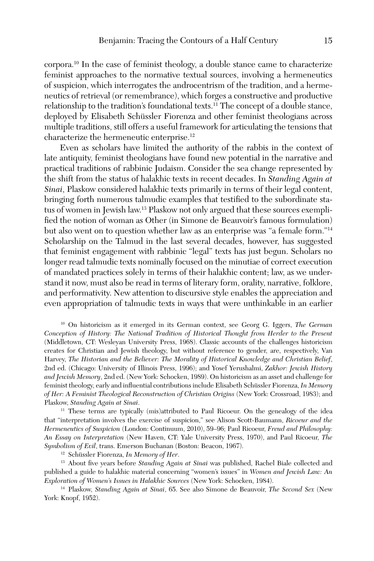corpora.10 In the case of feminist theology, a double stance came to characterize feminist approaches to the normative textual sources, involving a hermeneutics of suspicion, which interrogates the androcentrism of the tradition, and a hermeneutics of retrieval (or remembrance), which forges a constructive and productive relationship to the tradition's foundational texts.<sup>11</sup> The concept of a double stance, deployed by Elisabeth Schüssler Fiorenza and other feminist theologians across multiple traditions, still offers a useful framework for articulating the tensions that characterize the hermeneutic enterprise.<sup>12</sup>

Even as scholars have limited the authority of the rabbis in the context of late antiquity, feminist theologians have found new potential in the narrative and practical traditions of rabbinic Judaism. Consider the sea change represented by the shift from the status of halakhic texts in recent decades. In *Standing Again at Sinai*, Plaskow considered halakhic texts primarily in terms of their legal content, bringing forth numerous talmudic examples that testified to the subordinate status of women in Jewish law.13 Plaskow not only argued that these sources exemplified the notion of woman as Other (in Simone de Beauvoir's famous formulation) but also went on to question whether law as an enterprise was "a female form."14 Scholarship on the Talmud in the last several decades, however, has suggested that feminist engagement with rabbinic "legal" texts has just begun. Scholars no longer read talmudic texts nominally focused on the minutiae of correct execution of mandated practices solely in terms of their halakhic content; law, as we understand it now, must also be read in terms of literary form, orality, narrative, folklore, and performativity. New attention to discursive style enables the appreciation and even appropriation of talmudic texts in ways that were unthinkable in an earlier

<sup>10</sup> On historicism as it emerged in its German context, see Georg G. Iggers, *The German Conception of History: The National Tradition of Historical Thought from Herder to the Present* (Middletown, CT: Wesleyan University Press, 1968). Classic accounts of the challenges historicism creates for Christian and Jewish theology, but without reference to gender, are, respectively, Van Harvey, *The Historian and the Believer: The Morality of Historical Knowledge and Christian Belief*, 2nd ed. (Chicago: University of Illinois Press, 1996); and Yosef Yerushalmi, *Zakhor: Jewish History and Jewish Memory*, 2nd ed. (New York: Schocken, 1989). On historicism as an asset and challenge for feminist theology, early and influential contributions include Elisabeth Schüssler Fiorenza, *In Memory of Her: A Feminist Theological Reconstruction of Christian Origins* (New York: Crossroad, 1983); and Plaskow, *Standing Again at Sinai*.

<sup>11</sup> These terms are typically (mis)attributed to Paul Ricoeur. On the genealogy of the idea that "interpretation involves the exercise of suspicion," see Alison Scott-Baumann, *Ricoeur and the Hermeneutics of Suspicion* (London: Continuum, 2010), 59–96; Paul Ricoeur, *Freud and Philosophy: An Essay on Interpretation* (New Haven, CT: Yale University Press, 1970), and Paul Ricoeur, *The Symbolism of Evil*, trans. Emerson Buchanan (Boston: Beacon, 1967).

<sup>12</sup> Schüssler Fiorenza, *In Memory of Her*.

<sup>13</sup> About five years before *Standing Again at Sinai* was published, Rachel Biale collected and published a guide to halakhic material concerning "women's issues" in *Women and Jewish Law: An Exploration of Women's Issues in Halakhic Sources* (New York: Schocken, 1984).

<sup>14</sup> Plaskow, *Standing Again at Sinai*, 65. See also Simone de Beauvoir, *The Second Sex* (New York: Knopf, 1952).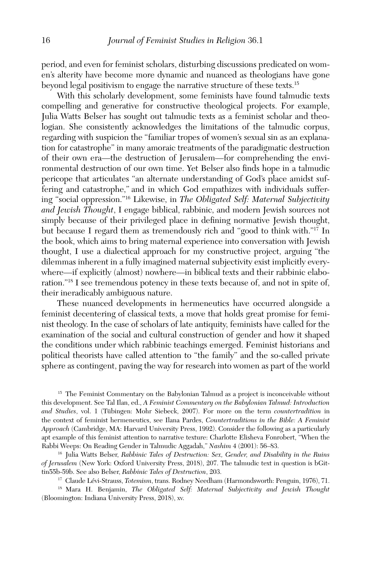period, and even for feminist scholars, disturbing discussions predicated on women's alterity have become more dynamic and nuanced as theologians have gone beyond legal positivism to engage the narrative structure of these texts.15

With this scholarly development, some feminists have found talmudic texts compelling and generative for constructive theological projects. For example, Julia Watts Belser has sought out talmudic texts as a feminist scholar and theologian. She consistently acknowledges the limitations of the talmudic corpus, regarding with suspicion the "familiar tropes of women's sexual sin as an explanation for catastrophe" in many amoraic treatments of the paradigmatic destruction of their own era—the destruction of Jerusalem—for comprehending the environmental destruction of our own time. Yet Belser also finds hope in a talmudic pericope that articulates "an alternate understanding of God's place amidst suffering and catastrophe," and in which God empathizes with individuals suffering "social oppression."16 Likewise, in *The Obligated Self: Maternal Subjectivity and Jewish Thought*, I engage biblical, rabbinic, and modern Jewish sources not simply because of their privileged place in defining normative Jewish thought, but because I regard them as tremendously rich and "good to think with."17 In the book, which aims to bring maternal experience into conversation with Jewish thought, I use a dialectical approach for my constructive project, arguing "the dilemmas inherent in a fully imagined maternal subjectivity exist implicitly everywhere—if explicitly (almost) nowhere—in biblical texts and their rabbinic elaboration."18 I see tremendous potency in these texts because of, and not in spite of, their ineradicably ambiguous nature.

These nuanced developments in hermeneutics have occurred alongside a feminist decentering of classical texts, a move that holds great promise for feminist theology. In the case of scholars of late antiquity, feminists have called for the examination of the social and cultural construction of gender and how it shaped the conditions under which rabbinic teachings emerged. Feminist historians and political theorists have called attention to "the family" and the so-called private sphere as contingent, paving the way for research into women as part of the world

<sup>15</sup> The Feminist Commentary on the Babylonian Talmud as a project is inconceivable without this development. See Tal Ilan, ed., *A Feminist Commentary on the Babylonian Talmud: Introduction and Studies*, vol. 1 (Tübingen: Mohr Siebeck, 2007). For more on the term *countertradition* in the context of feminist hermeneutics, see Ilana Pardes, *Countertraditions in the Bible: A Feminist Approach* (Cambridge, MA: Harvard University Press, 1992). Consider the following as a particularly apt example of this feminist attention to narrative texture: Charlotte Elisheva Fonrobert, "When the Rabbi Weeps: On Reading Gender in Talmudic Aggadah," *Nashim* 4 (2001): 56–83. 16 Julia Watts Belser, *Rabbinic Tales of Destruction: Sex, Gender, and Disability in the Ruins* 

*of Jerusalem* (New York: Oxford University Press, 2018), 207. The talmudic text in question is bGittin55b-59b. See also Belser, *Rabbinic Tales of Destruction*, 203. 17 Claude Lévi-Strauss, *Totemism*, trans. Rodney Needham (Harmondsworth: Penguin, 1976), 71.

<sup>18</sup> Mara H. Benjamin, *The Obligated Self: Maternal Subjectivity and Jewish Thought* (Bloomington: Indiana University Press, 2018), xv.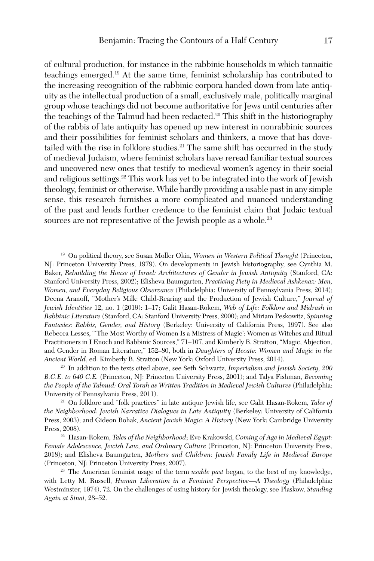of cultural production, for instance in the rabbinic households in which tannaitic teachings emerged.19 At the same time, feminist scholarship has contributed to the increasing recognition of the rabbinic corpora handed down from late antiquity as the intellectual production of a small, exclusively male, politically marginal group whose teachings did not become authoritative for Jews until centuries after the teachings of the Talmud had been redacted.<sup>20</sup> This shift in the historiography of the rabbis of late antiquity has opened up new interest in nonrabbinic sources and their possibilities for feminist scholars and thinkers, a move that has dovetailed with the rise in folklore studies.<sup>21</sup> The same shift has occurred in the study of medieval Judaism, where feminist scholars have reread familiar textual sources and uncovered new ones that testify to medieval women's agency in their social and religious settings.<sup>22</sup> This work has yet to be integrated into the work of Jewish theology, feminist or otherwise. While hardly providing a usable past in any simple sense, this research furnishes a more complicated and nuanced understanding of the past and lends further credence to the feminist claim that Judaic textual sources are not representative of the Jewish people as a whole.<sup>23</sup>

<sup>19</sup> On political theory, see Susan Moller Okin, *Women in Western Political Thought* (Princeton, NJ: Princeton University Press, 1979). On developments in Jewish historiography, see Cynthia M. Baker, *Rebuilding the House of Israel: Architectures of Gender in Jewish Antiquity* (Stanford, CA: Stanford University Press, 2002); Elisheva Baumgarten, *Practicing Piety in Medieval Ashkenaz: Men, Women, and Everyday Religious Observance* (Philadelphia: University of Pennsylvania Press, 2014); Deena Aranoff, "Mother's Milk: Child-Rearing and the Production of Jewish Culture," *Journal of Jewish Identities* 12, no. 1 (2019): 1–17; Galit Hasan-Rokem, *Web of Life: Folklore and Midrash in Rabbinic Literature* (Stanford, CA: Stanford University Press, 2000); and Miriam Peskowitz, *Spinning Fantasies: Rabbis, Gender, and History* (Berkeley: University of California Press, 1997). See also Rebecca Lesses, "'The Most Worthy of Women Is a Mistress of Magic': Women as Witches and Ritual Practitioners in I Enoch and Rabbinic Sources," 71–107, and Kimberly B. Stratton, "Magic, Abjection, and Gender in Roman Literature," 152–80, both in *Daughters of Hecate: Women and Magic in the Ancient World*, ed. Kimberly B. Stratton (New York: Oxford University Press, 2014).<br><sup>20</sup> In addition to the texts cited above, see Seth Schwartz, *Imperialism and Jewish Society*, 200

*B.C.E. to 640 C.E.* (Princeton, NJ: Princeton University Press, 2001); and Talya Fishman, *Becoming the People of the Talmud: Oral Torah as Written Tradition in Medieval Jewish Cultures* (Philadelphia: University of Pennsylvania Press, 2011).

<sup>21</sup> On folklore and "folk practices" in late antique Jewish life, see Galit Hasan-Rokem, *Tales of the Neighborhood: Jewish Narrative Dialogues in Late Antiquity* (Berkeley: University of California Press, 2003); and Gideon Bohak, *Ancient Jewish Magic: A History* (New York: Cambridge University Press, 2008).

<sup>22</sup> Hasan-Rokem, *Tales of the Neighborhood*; Eve Krakowski, *Coming of Age in Medieval Egypt: Female Adolescence, Jewish Law, and Ordinary Culture* (Princeton, NJ: Princeton University Press, 2018); and Elisheva Baumgarten, *Mothers and Children: Jewish Family Life in Medieval Europe* (Princeton, NJ: Princeton University Press, 2007).

<sup>23</sup> The American feminist usage of the term *usable past* began, to the best of my knowledge, with Letty M. Russell, *Human Liberation in a Feminist Perspective—A Theology* (Philadelphia: Westminster, 1974), 72. On the challenges of using history for Jewish theology, see Plaskow, *Standing Again at Sinai*, 28–52.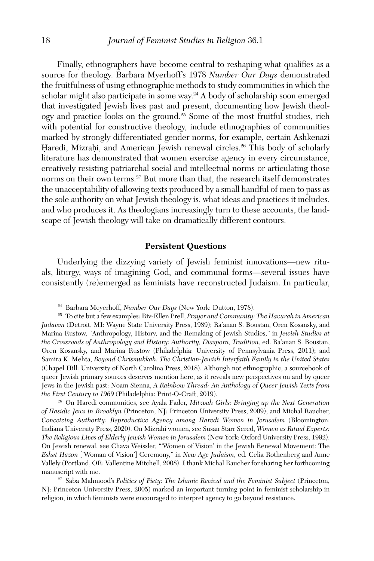Finally, ethnographers have become central to reshaping what qualifies as a source for theology. Barbara Myerhoff's 1978 *Number Our Days* demonstrated the fruitfulness of using ethnographic methods to study communities in which the scholar might also participate in some way.24 A body of scholarship soon emerged that investigated Jewish lives past and present, documenting how Jewish theology and practice looks on the ground.25 Some of the most fruitful studies, rich with potential for constructive theology, include ethnographies of communities marked by strongly differentiated gender norms, for example, certain Ashkenazi Haredi, Mizraḥi, and American Jewish renewal circles.<sup>26</sup> This body of scholarly literature has demonstrated that women exercise agency in every circumstance, creatively resisting patriarchal social and intellectual norms or articulating those norms on their own terms.<sup>27</sup> But more than that, the research itself demonstrates the unacceptability of allowing texts produced by a small handful of men to pass as the sole authority on what Jewish theology is, what ideas and practices it includes, and who produces it. As theologians increasingly turn to these accounts, the landscape of Jewish theology will take on dramatically different contours.

#### **Persistent Questions**

Underlying the dizzying variety of Jewish feminist innovations—new rituals, liturgy, ways of imagining God, and communal forms—several issues have consistently (re)emerged as feminists have reconstructed Judaism. In particular,

<sup>24</sup> Barbara Meyerhoff, *Number Our Days* (New York: Dutton, 1978).

<sup>25</sup> To cite but a few examples: Riv-Ellen Prell, *Prayer and Community: The Havurah in American Judaism* (Detroit, MI: Wayne State University Press, 1989); Ra'anan S. Boustan, Oren Kosansky, and Marina Rustow, "Anthropology, History, and the Remaking of Jewish Studies," in *Jewish Studies at the Crossroads of Anthropology and History: Authority, Diaspora, Tradition*, ed. Ra'anan S. Boustan, Oren Kosansky, and Marina Rustow (Philadelphia: University of Pennsylvania Press, 2011); and Samira K. Mehta, *Beyond Chrismukkah: The Christian-Jewish Interfaith Family in the United States* (Chapel Hill: University of North Carolina Press, 2018). Although not ethnographic, a sourcebook of queer Jewish primary sources deserves mention here, as it reveals new perspectives on and by queer Jews in the Jewish past: Noam Sienna, *A Rainbow Thread: An Anthology of Queer Jewish Texts from the First Century to 1969* (Philadelphia: Print-O-Craft, 2019).

<sup>26</sup> On Haredi communities, see Ayala Fader, *Mitzvah Girls: Bringing up the Next Generation of Hasidic Jews in Brooklyn* (Princeton, NJ: Princeton University Press, 2009); and Michal Raucher, *Conceiving Authority: Reproductive Agency among Haredi Women in Jerusalem* (Bloomington: Indiana University Press, 2020). On Mizrahi women, see Susan Starr Sered, *Women as Ritual Experts: The Religious Lives of Elderly Jewish Women in Jerusalem* (New York: Oxford University Press, 1992). On Jewish renewal, see Chava Weissler, "'Women of Vision' in the Jewish Renewal Movement: The *Eshet Hazon* ['Woman of Vision'] Ceremony," in *New Age Judaism*, ed. Celia Rothenberg and Anne Vallely (Portland, OR: Vallentine Mitchell, 2008). I thank Michal Raucher for sharing her forthcoming manuscript with me.

<sup>27</sup> Saba Mahmood's *Politics of Piety: The Islamic Revival and the Feminist Subject* (Princeton, NJ: Princeton University Press, 2005) marked an important turning point in feminist scholarship in religion, in which feminists were encouraged to interpret agency to go beyond resistance.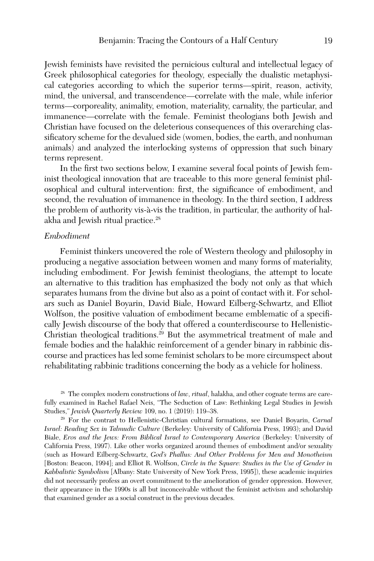Jewish feminists have revisited the pernicious cultural and intellectual legacy of Greek philosophical categories for theology, especially the dualistic metaphysical categories according to which the superior terms—spirit, reason, activity, mind, the universal, and transcendence—correlate with the male, while inferior terms—corporeality, animality, emotion, materiality, carnality, the particular, and immanence—correlate with the female. Feminist theologians both Jewish and Christian have focused on the deleterious consequences of this overarching classificatory scheme for the devalued side (women, bodies, the earth, and nonhuman animals) and analyzed the interlocking systems of oppression that such binary terms represent.

In the first two sections below, I examine several focal points of Jewish feminist theological innovation that are traceable to this more general feminist philosophical and cultural intervention: first, the significance of embodiment, and second, the revaluation of immanence in theology. In the third section, I address the problem of authority vis-à-vis the tradition, in particular, the authority of halakha and Jewish ritual practice.<sup>28</sup>

# *Embodiment*

Feminist thinkers uncovered the role of Western theology and philosophy in producing a negative association between women and many forms of materiality, including embodiment. For Jewish feminist theologians, the attempt to locate an alternative to this tradition has emphasized the body not only as that which separates humans from the divine but also as a point of contact with it. For scholars such as Daniel Boyarin, David Biale, Howard Eilberg-Schwartz, and Elliot Wolfson, the positive valuation of embodiment became emblematic of a specifically Jewish discourse of the body that offered a counterdiscourse to Hellenistic-Christian theological traditions.29 But the asymmetrical treatment of male and female bodies and the halakhic reinforcement of a gender binary in rabbinic discourse and practices has led some feminist scholars to be more circumspect about rehabilitating rabbinic traditions concerning the body as a vehicle for holiness.

<sup>28</sup> The complex modern constructions of *law*, *ritual*, halakha, and other cognate terms are carefully examined in Rachel Rafael Neis, "The Seduction of Law: Rethinking Legal Studies in Jewish Studies," *Jewish Quarterly Review* 109, no. 1 (2019): 119–38.

<sup>29</sup> For the contrast to Hellenistic-Christian cultural formations, see Daniel Boyarin, *Carnal Israel: Reading Sex in Talmudic Culture* (Berkeley: University of California Press, 1993); and David Biale, *Eros and the Jews: From Biblical Israel to Contemporary America* (Berkeley: University of California Press, 1997). Like other works organized around themes of embodiment and/or sexuality (such as Howard Eilberg-Schwartz, *God's Phallus: And Other Problems for Men and Monotheism* [Boston: Beacon, 1994]; and Elliot R. Wolfson, *Circle in the Square: Studies in the Use of Gender in Kabbalistic Symbolism* [Albany: State University of New York Press, 1995]), these academic inquiries did not necessarily profess an overt commitment to the amelioration of gender oppression. However, their appearance in the 1990s is all but inconceivable without the feminist activism and scholarship that examined gender as a social construct in the previous decades.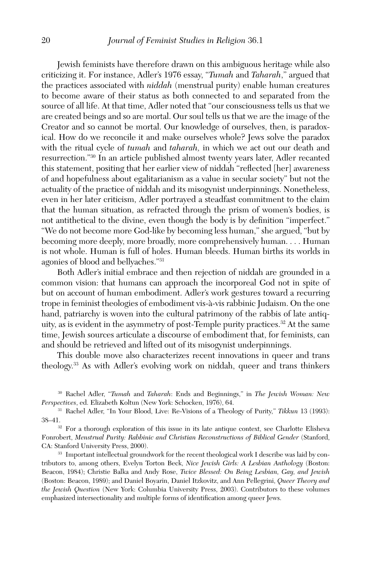Jewish feminists have therefore drawn on this ambiguous heritage while also criticizing it. For instance, Adler's 1976 essay, "*Tumah* and *Taharah*," argued that the practices associated with *niddah* (menstrual purity) enable human creatures to become aware of their status as both connected to and separated from the source of all life. At that time, Adler noted that "our consciousness tells us that we are created beings and so are mortal. Our soul tells us that we are the image of the Creator and so cannot be mortal. Our knowledge of ourselves, then, is paradoxical. How do we reconcile it and make ourselves whole? Jews solve the paradox with the ritual cycle of *tumah* and *taharah,* in which we act out our death and resurrection."30 In an article published almost twenty years later, Adler recanted this statement, positing that her earlier view of niddah "reflected [her] awareness of and hopefulness about egalitarianism as a value in secular society" but not the actuality of the practice of niddah and its misogynist underpinnings. Nonetheless, even in her later criticism, Adler portrayed a steadfast commitment to the claim that the human situation, as refracted through the prism of women's bodies, is not antithetical to the divine, even though the body is by definition "imperfect." "We do not become more God-like by becoming less human," she argued, "but by becoming more deeply, more broadly, more comprehensively human. . . . Human is not whole. Human is full of holes. Human bleeds. Human births its worlds in agonies of blood and bellyaches."31

Both Adler's initial embrace and then rejection of niddah are grounded in a common vision: that humans can approach the incorporeal God not in spite of but on account of human embodiment. Adler's work gestures toward a recurring trope in feminist theologies of embodiment vis-à-vis rabbinic Judaism. On the one hand, patriarchy is woven into the cultural patrimony of the rabbis of late antiquity, as is evident in the asymmetry of post-Temple purity practices.<sup>32</sup> At the same time, Jewish sources articulate a discourse of embodiment that, for feminists, can and should be retrieved and lifted out of its misogynist underpinnings.

This double move also characterizes recent innovations in queer and trans theology.33 As with Adler's evolving work on niddah, queer and trans thinkers

<sup>30</sup> Rachel Adler, "*Tumah* and *Taharah*: Ends and Beginnings," in *The Jewish Woman: New Perspectives*, ed. Elizabeth Koltun (New York: Schocken, 1976), 64.

<sup>31</sup> Rachel Adler, "In Your Blood, Live: Re-Visions of a Theology of Purity," *Tikkun* 13 (1993): 38–41.32 For a thorough exploration of this issue in its late antique context, see Charlotte Elisheva

Fonrobert, *Menstrual Purity: Rabbinic and Christian Reconstructions of Biblical Gender* (Stanford, CA: Stanford University Press, 2000).

<sup>33</sup> Important intellectual groundwork for the recent theological work I describe was laid by contributors to, among others, Evelyn Torton Beck, *Nice Jewish Girls: A Lesbian Anthology* (Boston: Beacon, 1984); Christie Balka and Andy Rose, *Twice Blessed: On Being Lesbian, Gay, and Jewish* (Boston: Beacon, 1989); and Daniel Boyarin, Daniel Itzkovitz, and Ann Pellegrini, *Queer Theory and the Jewish Question* (New York: Columbia University Press, 2003). Contributors to these volumes emphasized intersectionality and multiple forms of identification among queer Jews.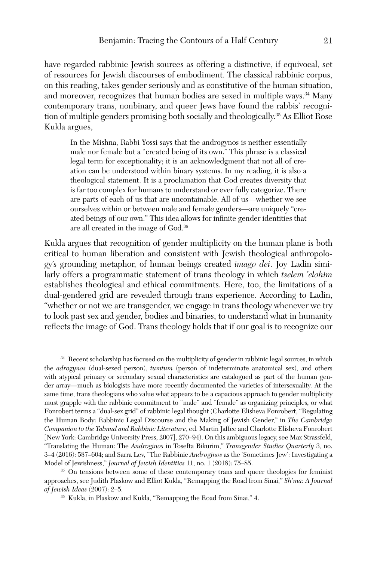have regarded rabbinic Jewish sources as offering a distinctive, if equivocal, set of resources for Jewish discourses of embodiment. The classical rabbinic corpus, on this reading, takes gender seriously and as constitutive of the human situation, and moreover, recognizes that human bodies are sexed in multiple ways.<sup>34</sup> Many contemporary trans, nonbinary, and queer Jews have found the rabbis' recognition of multiple genders promising both socially and theologically.35 As Elliot Rose Kukla argues,

In the Mishna, Rabbi Yossi says that the androgynos is neither essentially male nor female but a "created being of its own." This phrase is a classical legal term for exceptionality; it is an acknowledgment that not all of creation can be understood within binary systems. In my reading, it is also a theological statement. It is a proclamation that God creates diversity that is far too complex for humans to understand or ever fully categorize. There are parts of each of us that are uncontainable. All of us—whether we see ourselves within or between male and female genders—are uniquely "created beings of our own." This idea allows for infinite gender identities that are all created in the image of God.36

Kukla argues that recognition of gender multiplicity on the human plane is both critical to human liberation and consistent with Jewish theological anthropology's grounding metaphor, of human beings created *imago dei*. Joy Ladin similarly offers a programmatic statement of trans theology in which *tselem 'elohim* establishes theological and ethical commitments. Here, too, the limitations of a dual-gendered grid are revealed through trans experience. According to Ladin, "whether or not we are transgender, we engage in trans theology whenever we try to look past sex and gender, bodies and binaries, to understand what in humanity reflects the image of God. Trans theology holds that if our goal is to recognize our

<sup>34</sup> Recent scholarship has focused on the multiplicity of gender in rabbinic legal sources, in which the *adrogynos* (dual-sexed person), *tumtum* (person of indeterminate anatomical sex), and others with atypical primary or secondary sexual characteristics are catalogued as part of the human gender array—much as biologists have more recently documented the varieties of intersexuality. At the same time, trans theologians who value what appears to be a capacious approach to gender multiplicity must grapple with the rabbinic commitment to "male" and "female" as organizing principles, or what Fonrobert terms a "dual-sex grid" of rabbinic legal thought (Charlotte Elisheva Fonrobert, "Regulating the Human Body: Rabbinic Legal Discourse and the Making of Jewish Gender," in *The Cambridge Companion to the Talmud and Rabbinic Literature*, ed. Martin Jaffee and Charlotte Elisheva Fonrobert [New York: Cambridge University Press, 2007], 270–94). On this ambiguous legacy, see Max Strassfeld, "Translating the Human: The *Androginos* in Tosefta Bikurim," *Transgender Studies Quarterly* 3, no. 3–4 (2016): 587–604; and Sarra Lev, "The Rabbinic *Androginos* as the 'Sometimes Jew': Investigating a Model of Jewishness," *Journal of Jewish Identities* 11, no. 1 (2018): 75–85. 35 On tensions between some of these contemporary trans and queer theologies for feminist

approaches, see Judith Plaskow and Elliot Kukla, "Remapping the Road from Sinai," *Sh'ma: A Journal of Jewish Ideas* (2007): 2–5. 36 Kukla, in Plaskow and Kukla, "Remapping the Road from Sinai," 4.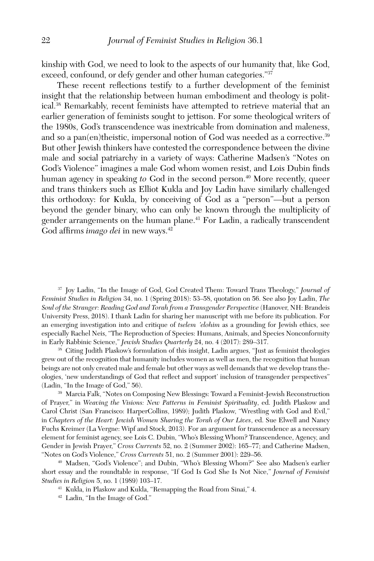kinship with God, we need to look to the aspects of our humanity that, like God, exceed, confound, or defy gender and other human categories."37

These recent reflections testify to a further development of the feminist insight that the relationship between human embodiment and theology is political.38 Remarkably, recent feminists have attempted to retrieve material that an earlier generation of feminists sought to jettison. For some theological writers of the 1980s, God's transcendence was inextricable from domination and maleness, and so a pan(en)theistic, impersonal notion of God was needed as a corrective.<sup>39</sup> But other Jewish thinkers have contested the correspondence between the divine male and social patriarchy in a variety of ways: Catherine Madsen's "Notes on God's Violence" imagines a male God whom women resist, and Lois Dubin finds human agency in speaking *to* God in the second person.<sup>40</sup> More recently, queer and trans thinkers such as Elliot Kukla and Joy Ladin have similarly challenged this orthodoxy: for Kukla, by conceiving of God as a "person"—but a person beyond the gender binary, who can only be known through the multiplicity of gender arrangements on the human plane.41 For Ladin, a radically transcendent God affirms *imago dei* in new ways.<sup>42</sup>

<sup>37</sup> Joy Ladin, "In the Image of God, God Created Them: Toward Trans Theology," *Journal of Feminist Studies in Religion* 34, no. 1 (Spring 2018): 53–58, quotation on 56. See also Joy Ladin, *The Soul of the Stranger: Reading God and Torah from a Transgender Perspective* (Hanover, NH: Brandeis University Press, 2018). I thank Ladin for sharing her manuscript with me before its publication. For an emerging investigation into and critique of *tselem 'elohim* as a grounding for Jewish ethics, see especially Rachel Neis, "The Reproduction of Species: Humans, Animals, and Species Nonconformity in Early Rabbinic Science," *Jewish Studies Quarterly* 24, no. 4 (2017): 289–317. 38 Citing Judith Plaskow's formulation of this insight, Ladin argues, "Just as feminist theologies

grew out of the recognition that humanity includes women as well as men, the recognition that human beings are not only created male and female but other ways as well demands that we develop trans theologies, 'new understandings of God that reflect and support' inclusion of transgender perspectives" (Ladin, "In the Image of God," 56). 39 Marcia Falk, "Notes on Composing New Blessings: Toward a Feminist-Jewish Reconstruction

of Prayer," in *Weaving the Visions: New Patterns in Feminist Spirituality*, ed. Judith Plaskow and Carol Christ (San Francisco: HarperCollins, 1989); Judith Plaskow, "Wrestling with God and Evil," in *Chapters of the Heart: Jewish Women Sharing the Torah of Our Lives*, ed. Sue Elwell and Nancy Fuchs Kreimer (La Vergne: Wipf and Stock, 2013). For an argument for transcendence as a necessary element for feminist agency, see Lois C. Dubin, "Who's Blessing Whom? Transcendence, Agency, and Gender in Jewish Prayer," *Cross Currents* 52, no. 2 (Summer 2002): 165–77; and Catherine Madsen, "Notes on God's Violence," *Cross Currents* 51, no. 2 (Summer 2001): 229–56. 40 Madsen, "God's Violence"; and Dubin, "Who's Blessing Whom?" See also Madsen's earlier

short essay and the roundtable in response, "If God Is God She Is Not Nice," *Journal of Feminist Studies in Religion* 5, no. 1 (1989) 103–17.

<sup>41</sup> Kukla, in Plaskow and Kukla, "Remapping the Road from Sinai," 4.

<sup>42</sup> Ladin, "In the Image of God."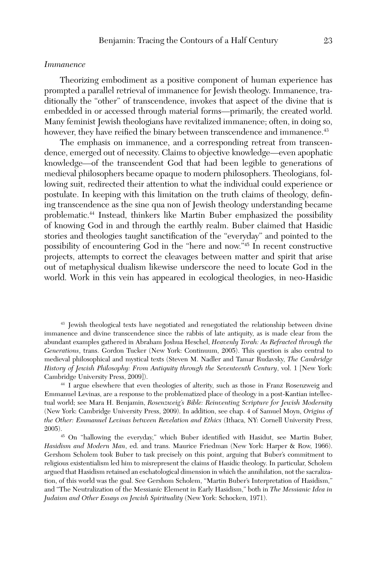#### *Immanence*

Theorizing embodiment as a positive component of human experience has prompted a parallel retrieval of immanence for Jewish theology. Immanence, traditionally the "other" of transcendence, invokes that aspect of the divine that is embedded in or accessed through material forms—primarily, the created world. Many feminist Jewish theologians have revitalized immanence; often, in doing so, however, they have reified the binary between transcendence and immanence.<sup>43</sup>

The emphasis on immanence, and a corresponding retreat from transcendence, emerged out of necessity. Claims to objective knowledge—even apophatic knowledge—of the transcendent God that had been legible to generations of medieval philosophers became opaque to modern philosophers. Theologians, following suit, redirected their attention to what the individual could experience or postulate. In keeping with this limitation on the truth claims of theology, defining transcendence as the sine qua non of Jewish theology understanding became problematic.44 Instead, thinkers like Martin Buber emphasized the possibility of knowing God in and through the earthly realm. Buber claimed that Hasidic stories and theologies taught sanctification of the "everyday" and pointed to the possibility of encountering God in the "here and now."45 In recent constructive projects, attempts to correct the cleavages between matter and spirit that arise out of metaphysical dualism likewise underscore the need to locate God in the world. Work in this vein has appeared in ecological theologies, in neo-Hasidic

<sup>43</sup> Jewish theological texts have negotiated and renegotiated the relationship between divine immanence and divine transcendence since the rabbis of late antiquity, as is made clear from the abundant examples gathered in Abraham Joshua Heschel, *Heavenly Torah: As Refracted through the Generations*, trans. Gordon Tucker (New York: Continuum, 2005). This question is also central to medieval philosophical and mystical texts (Steven M. Nadler and Tamar Rudavsky, *The Cambridge History of Jewish Philosophy: From Antiquity through the Seventeenth Century*, vol. 1 [New York: Cambridge University Press, 2009]).

<sup>44</sup> I argue elsewhere that even theologies of alterity, such as those in Franz Rosenzweig and Emmanuel Levinas, are a response to the problematized place of theology in a post-Kantian intellectual world; see Mara H. Benjamin, *Rosenzweig's Bible: Reinventing Scripture for Jewish Modernity* (New York: Cambridge University Press, 2009). In addition, see chap. 4 of Samuel Moyn, *Origins of the Other: Emmanuel Levinas between Revelation and Ethics* (Ithaca, NY: Cornell University Press,

2005).  $^{45}$  On "hallowing the everyday," which Buber identified with Hasidut, see Martin Buber, *Hasidism and Modern Man*, ed. and trans. Maurice Friedman (New York: Harper & Row, 1966). Gershom Scholem took Buber to task precisely on this point, arguing that Buber's commitment to religious existentialism led him to misrepresent the claims of Hasidic theology. In particular, Scholem argued that Hasidism retained an eschatological dimension in which the annihilation, not the sacralization, of this world was the goal. See Gershom Scholem, "Martin Buber's Interpretation of Hasidism," and "The Neutralization of the Messianic Element in Early Hasidism," both in *The Messianic Idea in Judaism and Other Essays on Jewish Spirituality* (New York: Schocken, 1971).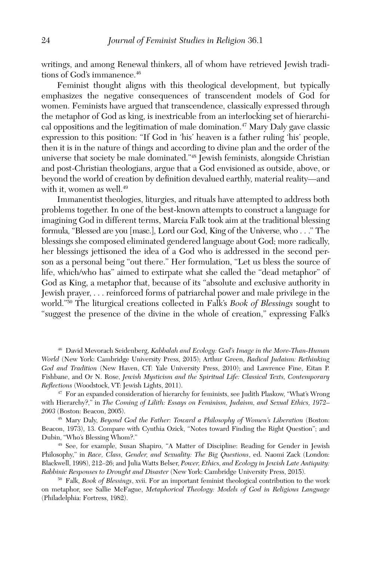writings, and among Renewal thinkers, all of whom have retrieved Jewish traditions of God's immanence.<sup>46</sup>

Feminist thought aligns with this theological development, but typically emphasizes the negative consequences of transcendent models of God for women. Feminists have argued that transcendence, classically expressed through the metaphor of God as king, is inextricable from an interlocking set of hierarchical oppositions and the legitimation of male domination.<sup>47</sup> Mary Daly gave classic expression to this position: "If God in 'his' heaven is a father ruling 'his' people, then it is in the nature of things and according to divine plan and the order of the universe that society be male dominated."48 Jewish feminists, alongside Christian and post-Christian theologians, argue that a God envisioned as outside, above, or beyond the world of creation by definition devalued earthly, material reality—and with it, women as well.<sup>49</sup>

Immanentist theologies, liturgies, and rituals have attempted to address both problems together. In one of the best-known attempts to construct a language for imagining God in different terms, Marcia Falk took aim at the traditional blessing formula, "Blessed are you [masc.], Lord our God, King of the Universe, who . . ." The blessings she composed eliminated gendered language about God; more radically, her blessings jettisoned the idea of a God who is addressed in the second person as a personal being "out there." Her formulation, "Let us bless the source of life, which/who has" aimed to extirpate what she called the "dead metaphor" of God as King, a metaphor that, because of its "absolute and exclusive authority in Jewish prayer, . . . reinforced forms of patriarchal power and male privilege in the world."50 The liturgical creations collected in Falk's *Book of Blessings* sought to "suggest the presence of the divine in the whole of creation," expressing Falk's

<sup>46</sup> David Mevorach Seidenberg, *Kabbalah and Ecology: God's Image in the More-Than-Human World* (New York: Cambridge University Press, 2015); Arthur Green, *Radical Judaism: Rethinking God and Tradition* (New Haven, CT: Yale University Press, 2010); and Lawrence Fine, Eitan P. Fishbane, and Or N. Rose, *Jewish Mysticism and the Spiritual Life: Classical Texts, Contemporary Reflections* (Woodstock, VT: Jewish Lights, 2011). 47 For an expanded consideration of hierarchy for feminists, see Judith Plaskow, "What's Wrong

with Hierarchy?," in *The Coming of Lilith: Essays on Feminism, Judaism, and Sexual Ethics, 1972– 2003* (Boston: Beacon, 2005).

<sup>48</sup> Mary Daly, *Beyond God the Father: Toward a Philosophy of Women's Liberation* (Boston: Beacon, 1973), 13. Compare with Cynthia Ozick, "Notes toward Finding the Right Question"; and Dubin, "Who's Blessing Whom?."

<sup>49</sup> See, for example, Susan Shapiro, "A Matter of Discipline: Reading for Gender in Jewish Philosophy," in *Race, Class, Gender, and Sexuality: The Big Questions*, ed. Naomi Zack (London: Blackwell, 1998), 212–26; and Julia Watts Belser, *Power, Ethics, and Ecology in Jewish Late Antiquity: Rabbinic Responses to Drought and Disaster* (New York: Cambridge University Press, 2015). 50 Falk, *Book of Blessings*, xvii. For an important feminist theological contribution to the work

on metaphor, see Sallie McFague, *Metaphorical Theology: Models of God in Religious Language* (Philadelphia: Fortress, 1982).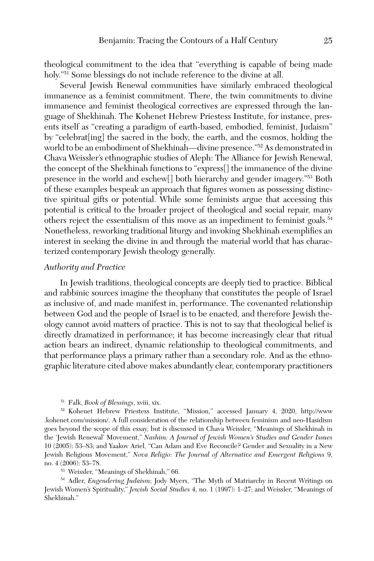theological commitment to the idea that "everything is capable of being made holy."<sup>51</sup> Some blessings do not include reference to the divine at all.

Several Jewish Renewal communities have similarly embraced theological immanence as a feminist commitment. There, the twin commitments to divine immanence and feminist theological correctives are expressed through the language of Shekhinah. The Kohenet Hebrew Priestess Institute, for instance, presents itself as "creating a paradigm of earth-based, embodied, feminist, Judaism" by "celebrat[ing] the sacred in the body, the earth, and the cosmos, holding the world to be an embodiment of Shekhinah—divine presence."52 As demonstrated in Chava Weissler's ethnographic studies of Aleph: The Alliance for Jewish Renewal, the concept of the Shekhinah functions to "express[] the immanence of the divine presence in the world and eschew[] both hierarchy and gender imagery."53 Both of these examples bespeak an approach that figures women as possessing distinctive spiritual gifts or potential. While some feminists argue that accessing this potential is critical to the broader project of theological and social repair, many others reject the essentialism of this move as an impediment to feminist goals.<sup>54</sup> Nonetheless, reworking traditional liturgy and invoking Shekhinah exemplifies an interest in seeking the divine in and through the material world that has characterized contemporary Jewish theology generally.

## *Authority and Practice*

In Jewish traditions, theological concepts are deeply tied to practice. Biblical and rabbinic sources imagine the theophany that constitutes the people of Israel as inclusive of, and made manifest in, performance. The covenanted relationship between God and the people of Israel is to be enacted, and therefore Jewish theology cannot avoid matters of practice. This is not to say that theological belief is directly dramatized in performance; it has become increasingly clear that ritual action bears an indirect, dynamic relationship to theological commitments, and that performance plays a primary rather than a secondary role. And as the ethnographic literature cited above makes abundantly clear, contemporary practitioners

<sup>51</sup> Falk, *Book of Blessings*, xviii, xix.

<sup>52</sup> Kohenet Hebrew Priestess Institute, "Mission," accessed January 4, 2020, [http://www](http://www.kohenet.com/mission/) [.kohenet.com/mission/.](http://www.kohenet.com/mission/) A full consideration of the relationship between feminism and neo-Hasidism goes beyond the scope of this essay, but is discussed in Chava Weissler, "Meanings of Shekhinah in the 'Jewish Renewal' Movement," *Nashim: A Journal of Jewish Women's Studies and Gender Issues* 10 (2005): 53–83; and Yaakov Ariel, "Can Adam and Eve Reconcile? Gender and Sexuality in a New Jewish Religious Movement," *Nova Religio: The Journal of Alternative and Emergent Religions* 9, no. 4 (2006): 53–78.

<sup>53</sup> Weissler, "Meanings of Shekhinah," 66.

<sup>54</sup> Adler, *Engendering Judaism*; Jody Myers, "The Myth of Matriarchy in Recent Writings on Jewish Women's Spirituality," *Jewish Social Studies* 4, no. 1 (1997): 1–27; and Weissler, "Meanings of Shekhinah."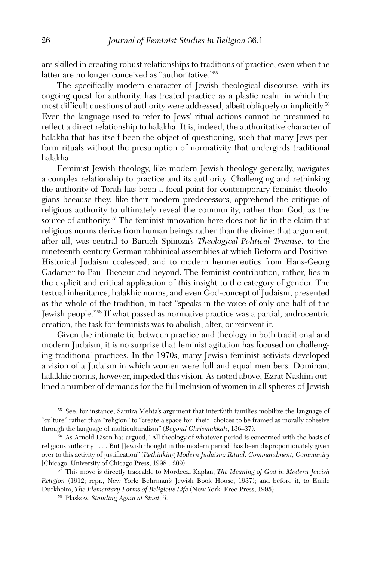are skilled in creating robust relationships to traditions of practice, even when the latter are no longer conceived as "authoritative."55

The specifically modern character of Jewish theological discourse, with its ongoing quest for authority, has treated practice as a plastic realm in which the most difficult questions of authority were addressed, albeit obliquely or implicitly.56 Even the language used to refer to Jews' ritual actions cannot be presumed to reflect a direct relationship to halakha. It is, indeed, the authoritative character of halakha that has itself been the object of questioning, such that many Jews perform rituals without the presumption of normativity that undergirds traditional halakha.

Feminist Jewish theology, like modern Jewish theology generally, navigates a complex relationship to practice and its authority. Challenging and rethinking the authority of Torah has been a focal point for contemporary feminist theologians because they, like their modern predecessors, apprehend the critique of religious authority to ultimately reveal the community, rather than God, as the source of authority.<sup>57</sup> The feminist innovation here does not lie in the claim that religious norms derive from human beings rather than the divine; that argument, after all, was central to Baruch Spinoza's *Theological-Political Treatise*, to the nineteenth-century German rabbinical assemblies at which Reform and Positive-Historical Judaism coalesced, and to modern hermeneutics from Hans-Georg Gadamer to Paul Ricoeur and beyond. The feminist contribution, rather, lies in the explicit and critical application of this insight to the category of gender. The textual inheritance, halakhic norms, and even God-concept of Judaism, presented as the whole of the tradition, in fact "speaks in the voice of only one half of the Jewish people."58 If what passed as normative practice was a partial, androcentric creation, the task for feminists was to abolish, alter, or reinvent it.

Given the intimate tie between practice and theology in both traditional and modern Judaism, it is no surprise that feminist agitation has focused on challenging traditional practices. In the 1970s, many Jewish feminist activists developed a vision of a Judaism in which women were full and equal members. Dominant halakhic norms, however, impeded this vision. As noted above, Ezrat Nashim outlined a number of demands for the full inclusion of women in all spheres of Jewish

<sup>55</sup> See, for instance, Samira Mehta's argument that interfaith families mobilize the language of "culture" rather than "religion" to "create a space for [their] choices to be framed as morally cohesive through the language of multiculturalism" (*Beyond Chrismukkah*, 136–37).

<sup>56</sup> As Arnold Eisen has argued, "All theology of whatever period is concerned with the basis of religious authority . . . . But [Jewish thought in the modern period] has been disproportionately given over to this activity of justification" (*Rethinking Modern Judaism: Ritual, Commandment, Community* [Chicago: University of Chicago Press, 1998], 209).

<sup>57</sup> This move is directly traceable to Mordecai Kaplan, *The Meaning of God in Modern Jewish Religion* (1912; repr., New York: Behrman's Jewish Book House, 1937); and before it, to Emile Durkheim, *The Elementary Forms of Religious Life* (New York: Free Press, 1995).

<sup>58</sup> Plaskow, *Standing Again at Sinai*, 5.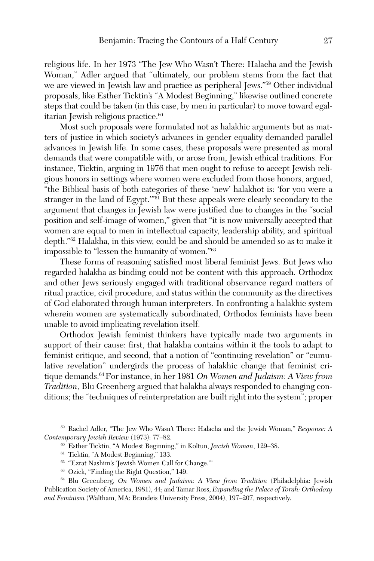religious life. In her 1973 "The Jew Who Wasn't There: Halacha and the Jewish Woman," Adler argued that "ultimately, our problem stems from the fact that we are viewed in Jewish law and practice as peripheral Jews."59 Other individual proposals, like Esther Ticktin's "A Modest Beginning," likewise outlined concrete steps that could be taken (in this case, by men in particular) to move toward egalitarian Jewish religious practice.<sup>60</sup>

Most such proposals were formulated not as halakhic arguments but as matters of justice in which society's advances in gender equality demanded parallel advances in Jewish life. In some cases, these proposals were presented as moral demands that were compatible with, or arose from, Jewish ethical traditions. For instance, Ticktin, arguing in 1976 that men ought to refuse to accept Jewish religious honors in settings where women were excluded from those honors, argued, "the Biblical basis of both categories of these 'new' halakhot is: 'for you were a stranger in the land of Egypt."<sup>61</sup> But these appeals were clearly secondary to the argument that changes in Jewish law were justified due to changes in the "social position and self-image of women," given that "it is now universally accepted that women are equal to men in intellectual capacity, leadership ability, and spiritual depth."62 Halakha, in this view, could be and should be amended so as to make it impossible to "lessen the humanity of women."63

These forms of reasoning satisfied most liberal feminist Jews. But Jews who regarded halakha as binding could not be content with this approach. Orthodox and other Jews seriously engaged with traditional observance regard matters of ritual practice, civil procedure, and status within the community as the directives of God elaborated through human interpreters. In confronting a halakhic system wherein women are systematically subordinated, Orthodox feminists have been unable to avoid implicating revelation itself.

Orthodox Jewish feminist thinkers have typically made two arguments in support of their cause: first, that halakha contains within it the tools to adapt to feminist critique, and second, that a notion of "continuing revelation" or "cumulative revelation" undergirds the process of halakhic change that feminist critique demands.64 For instance, in her 1981 *On Women and Judaism: A View from Tradition*, Blu Greenberg argued that halakha always responded to changing conditions; the "techniques of reinterpretation are built right into the system"; proper

<sup>59</sup> Rachel Adler, "The Jew Who Wasn't There: Halacha and the Jewish Woman," *Response: A Contemporary Jewish Review* (1973): 77–82.

- <sup>61</sup> Ticktin, "A Modest Beginning," 133.
- $62$  "Ezrat Nashim's 'Jewish Women Call for Change."<br> $63$  Ozick, "Finding the Right Question," 149.
- 

<sup>64</sup> Blu Greenberg, *On Women and Judaism: A View from Tradition* (Philadelphia: Jewish Publication Society of America, 1981), 44; and Tamar Ross, *Expanding the Palace of Torah: Orthodoxy and Feminism* (Waltham, MA: Brandeis University Press, 2004), 197–207, respectively.

<sup>60</sup> Esther Ticktin, "A Modest Beginning," in Koltun, *Jewish Woman*, 129–38.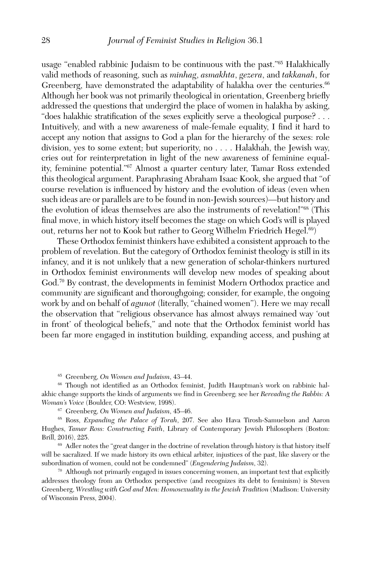usage "enabled rabbinic Judaism to be continuous with the past."65 Halakhically valid methods of reasoning, such as *minhag*, *asmakhta*, *gezera*, and *takkanah*, for Greenberg, have demonstrated the adaptability of halakha over the centuries.<sup>66</sup> Although her book was not primarily theological in orientation, Greenberg briefly addressed the questions that undergird the place of women in halakha by asking, "does halakhic stratification of the sexes explicitly serve a theological purpose? . . . Intuitively, and with a new awareness of male-female equality, I find it hard to accept any notion that assigns to God a plan for the hierarchy of the sexes: role division, yes to some extent; but superiority, no . . . . Halakhah, the Jewish way, cries out for reinterpretation in light of the new awareness of feminine equality, feminine potential."67 Almost a quarter century later, Tamar Ross extended this theological argument. Paraphrasing Abraham Isaac Kook, she argued that "of course revelation is influenced by history and the evolution of ideas (even when such ideas are or parallels are to be found in non-Jewish sources)—but history and the evolution of ideas themselves are also the instruments of revelation!"68 (This final move, in which history itself becomes the stage on which God's will is played out, returns her not to Kook but rather to Georg Wilhelm Friedrich Hegel.<sup>69</sup>)

These Orthodox feminist thinkers have exhibited a consistent approach to the problem of revelation. But the category of Orthodox feminist theology is still in its infancy, and it is not unlikely that a new generation of scholar-thinkers nurtured in Orthodox feminist environments will develop new modes of speaking about God.<sup>70</sup> By contrast, the developments in feminist Modern Orthodox practice and community are significant and thoroughgoing; consider, for example, the ongoing work by and on behalf of *agunot* (literally, "chained women"). Here we may recall the observation that "religious observance has almost always remained way 'out in front' of theological beliefs," and note that the Orthodox feminist world has been far more engaged in institution building, expanding access, and pushing at

<sup>65</sup> Greenberg, *On Women and Judaism*, 43–44.<br><sup>66</sup> Though not identified as an Orthodox feminist, Judith Hauptman's work on rabbinic halakhic change supports the kinds of arguments we find in Greenberg; see her *Rereading the Rabbis: A Woman's Voice* (Boulder, CO: Westview, 1998).

<sup>67</sup> Greenberg, *On Women and Judaism*, 45–46.

<sup>68</sup> Ross, *Expanding the Palace of Torah*, 207. See also Hava Tirosh-Samuelson and Aaron Hughes, *Tamar Ross: Constructing Faith*, Library of Contemporary Jewish Philosophers (Boston: Brill, 2016), 225.<br><sup>69</sup> Adler notes the "great danger in the doctrine of revelation through history is that history itself

will be sacralized. If we made history its own ethical arbiter, injustices of the past, like slavery or the subordination of women, could not be condemned" (*Engendering Judaism*, 32).

 $70$  Although not primarily engaged in issues concerning women, an important text that explicitly addresses theology from an Orthodox perspective (and recognizes its debt to feminism) is Steven Greenberg, *Wrestling with God and Men: Homosexuality in the Jewish Tradition* (Madison: University of Wisconsin Press, 2004).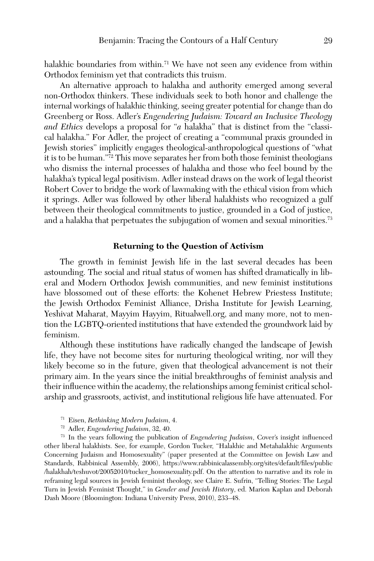halakhic boundaries from within.<sup>71</sup> We have not seen any evidence from within Orthodox feminism yet that contradicts this truism.

An alternative approach to halakha and authority emerged among several non-Orthodox thinkers. These individuals seek to both honor and challenge the internal workings of halakhic thinking, seeing greater potential for change than do Greenberg or Ross. Adler's *Engendering Judaism: Toward an Inclusive Theology and Ethics* develops a proposal for "*a* halakha" that is distinct from the "classical halakha." For Adler, the project of creating a "communal praxis grounded in Jewish stories" implicitly engages theological-anthropological questions of "what it is to be human."72 This move separates her from both those feminist theologians who dismiss the internal processes of halakha and those who feel bound by the halakha's typical legal positivism. Adler instead draws on the work of legal theorist Robert Cover to bridge the work of lawmaking with the ethical vision from which it springs. Adler was followed by other liberal halakhists who recognized a gulf between their theological commitments to justice, grounded in a God of justice, and a halakha that perpetuates the subjugation of women and sexual minorities.<sup>73</sup>

#### **Returning to the Question of Activism**

The growth in feminist Jewish life in the last several decades has been astounding. The social and ritual status of women has shifted dramatically in liberal and Modern Orthodox Jewish communities, and new feminist institutions have blossomed out of these efforts: the Kohenet Hebrew Priestess Institute; the Jewish Orthodox Feminist Alliance, Drisha Institute for Jewish Learning, Yeshivat Maharat, Mayyim Hayyim, Ritualwell.org, and many more, not to mention the LGBTQ-oriented institutions that have extended the groundwork laid by feminism.

Although these institutions have radically changed the landscape of Jewish life, they have not become sites for nurturing theological writing, nor will they likely become so in the future, given that theological advancement is not their primary aim. In the years since the initial breakthroughs of feminist analysis and their influence within the academy, the relationships among feminist critical scholarship and grassroots, activist, and institutional religious life have attenuated. For

- <sup>71</sup> Eisen, *Rethinking Modern Judaism*, 4.
- <sup>72</sup> Adler, *Engendering Judaism*, 32, 40.

<sup>73</sup> In the years following the publication of *Engendering Judaism*, Cover's insight influenced other liberal halakhists. See, for example, Gordon Tucker, "Halakhic and Metahalakhic Arguments Concerning Judaism and Homosexuality" (paper presented at the Committee on Jewish Law and Standards, Rabbinical Assembly, 2006), [https://www.rabbinicalassembly.org/sites/default/files/public](https://www.rabbinicalassembly.org/sites/default/files/public/halakhah/teshuvot/20052010/tucker_homosexuality.pdf) [/halakhah/teshuvot/20052010/tucker\\_homosexuality.pdf.](https://www.rabbinicalassembly.org/sites/default/files/public/halakhah/teshuvot/20052010/tucker_homosexuality.pdf) On the attention to narrative and its role in reframing legal sources in Jewish feminist theology, see Claire E. Sufrin, "Telling Stories: The Legal Turn in Jewish Feminist Thought," in *Gender and Jewish History*, ed. Marion Kaplan and Deborah Dash Moore (Bloomington: Indiana University Press, 2010), 233–48.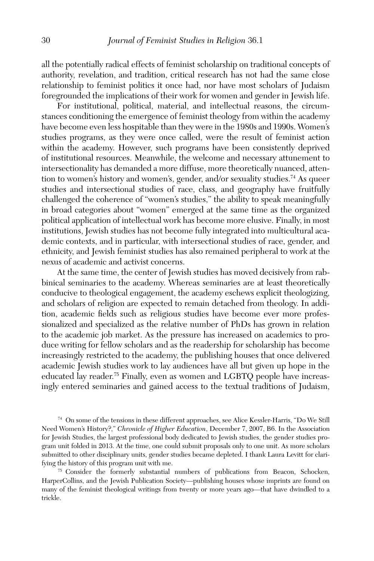all the potentially radical effects of feminist scholarship on traditional concepts of authority, revelation, and tradition, critical research has not had the same close relationship to feminist politics it once had, nor have most scholars of Judaism foregrounded the implications of their work for women and gender in Jewish life.

For institutional, political, material, and intellectual reasons, the circumstances conditioning the emergence of feminist theology from within the academy have become even less hospitable than they were in the 1980s and 1990s. Women's studies programs, as they were once called, were the result of feminist action within the academy. However, such programs have been consistently deprived of institutional resources. Meanwhile, the welcome and necessary attunement to intersectionality has demanded a more diffuse, more theoretically nuanced, attention to women's history and women's, gender, and/or sexuality studies.<sup>74</sup> As queer studies and intersectional studies of race, class, and geography have fruitfully challenged the coherence of "women's studies," the ability to speak meaningfully in broad categories about "women" emerged at the same time as the organized political application of intellectual work has become more elusive. Finally, in most institutions, Jewish studies has not become fully integrated into multicultural academic contexts, and in particular, with intersectional studies of race, gender, and ethnicity, and Jewish feminist studies has also remained peripheral to work at the nexus of academic and activist concerns.

At the same time, the center of Jewish studies has moved decisively from rabbinical seminaries to the academy. Whereas seminaries are at least theoretically conducive to theological engagement, the academy eschews explicit theologizing, and scholars of religion are expected to remain detached from theology. In addition, academic fields such as religious studies have become ever more professionalized and specialized as the relative number of PhDs has grown in relation to the academic job market. As the pressure has increased on academics to produce writing for fellow scholars and as the readership for scholarship has become increasingly restricted to the academy, the publishing houses that once delivered academic Jewish studies work to lay audiences have all but given up hope in the educated lay reader.75 Finally, even as women and LGBTQ people have increasingly entered seminaries and gained access to the textual traditions of Judaism,

<sup>74</sup> On some of the tensions in these different approaches, see Alice Kessler-Harris, "Do We Still Need Women's History?," *Chronicle of Higher Education*, December 7, 2007, B6. In the Association for Jewish Studies, the largest professional body dedicated to Jewish studies, the gender studies program unit folded in 2013. At the time, one could submit proposals only to one unit. As more scholars submitted to other disciplinary units, gender studies became depleted. I thank Laura Levitt for clarifying the history of this program unit with me.

<sup>75</sup> Consider the formerly substantial numbers of publications from Beacon, Schocken, HarperCollins, and the Jewish Publication Society—publishing houses whose imprints are found on many of the feminist theological writings from twenty or more years ago—that have dwindled to a trickle.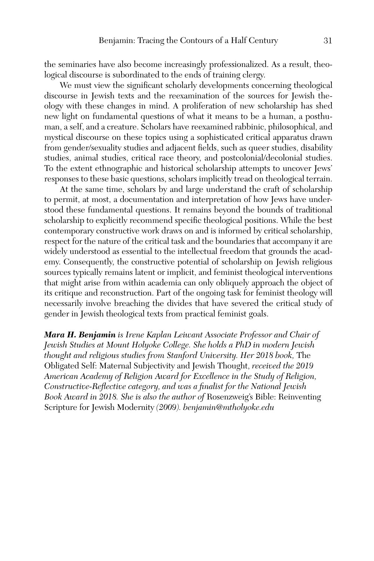the seminaries have also become increasingly professionalized. As a result, theological discourse is subordinated to the ends of training clergy.

We must view the significant scholarly developments concerning theological discourse in Jewish texts and the reexamination of the sources for Jewish theology with these changes in mind. A proliferation of new scholarship has shed new light on fundamental questions of what it means to be a human, a posthuman, a self, and a creature. Scholars have reexamined rabbinic, philosophical, and mystical discourse on these topics using a sophisticated critical apparatus drawn from gender/sexuality studies and adjacent fields, such as queer studies, disability studies, animal studies, critical race theory, and postcolonial/decolonial studies. To the extent ethnographic and historical scholarship attempts to uncover Jews' responses to these basic questions, scholars implicitly tread on theological terrain.

At the same time, scholars by and large understand the craft of scholarship to permit, at most, a documentation and interpretation of how Jews have understood these fundamental questions. It remains beyond the bounds of traditional scholarship to explicitly recommend specific theological positions. While the best contemporary constructive work draws on and is informed by critical scholarship, respect for the nature of the critical task and the boundaries that accompany it are widely understood as essential to the intellectual freedom that grounds the academy. Consequently, the constructive potential of scholarship on Jewish religious sources typically remains latent or implicit, and feminist theological interventions that might arise from within academia can only obliquely approach the object of its critique and reconstruction. Part of the ongoing task for feminist theology will necessarily involve breaching the divides that have severed the critical study of gender in Jewish theological texts from practical feminist goals.

*Mara H. Benjamin is Irene Kaplan Leiwant Associate Professor and Chair of Jewish Studies at Mount Holyoke College. She holds a PhD in modern Jewish thought and religious studies from Stanford University. Her 2018 book,* The Obligated Self: Maternal Subjectivity and Jewish Thought, *received the 2019 American Academy of Religion Award for Excellence in the Study of Religion, Constructive-Reflective category, and was a finalist for the National Jewish Book Award in 2018. She is also the author of* Rosenzweig's Bible: Reinventing Scripture for Jewish Modernity *(2009). benjamin@mtholyoke.edu*